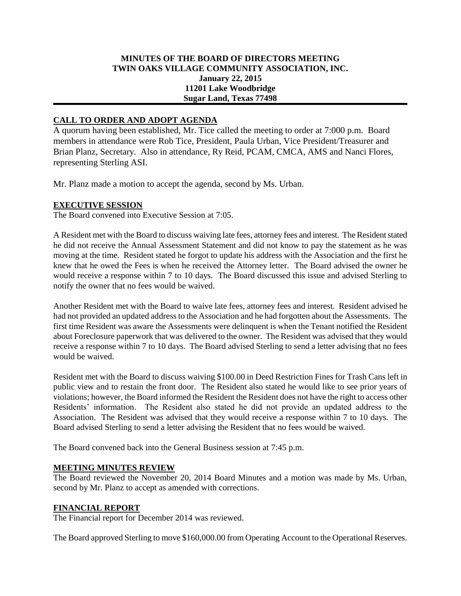## **MINUTES OF THE BOARD OF DIRECTORS MEETING TWIN OAKS VILLAGE COMMUNITY ASSOCIATION, INC. January 22, 2015 11201 Lake Woodbridge Sugar Land, Texas 77498**

# **CALL TO ORDER AND ADOPT AGENDA**

A quorum having been established, Mr. Tice called the meeting to order at 7:000 p.m. Board members in attendance were Rob Tice, President, Paula Urban, Vice President/Treasurer and Brian Planz, Secretary. Also in attendance, Ry Reid, PCAM, CMCA, AMS and Nanci Flores, representing Sterling ASI.

Mr. Planz made a motion to accept the agenda, second by Ms. Urban.

### **EXECUTIVE SESSION**

The Board convened into Executive Session at 7:05.

A Resident met with the Board to discuss waiving late fees, attorney fees and interest. The Resident stated he did not receive the Annual Assessment Statement and did not know to pay the statement as he was moving at the time. Resident stated he forgot to update his address with the Association and the first he knew that he owed the Fees is when he received the Attorney letter. The Board advised the owner he would receive a response within 7 to 10 days. The Board discussed this issue and advised Sterling to notify the owner that no fees would be waived.

Another Resident met with the Board to waive late fees, attorney fees and interest. Resident advised he had not provided an updated address to the Association and he had forgotten about the Assessments. The first time Resident was aware the Assessments were delinquent is when the Tenant notified the Resident about Foreclosure paperwork that was delivered to the owner. The Resident was advised that they would receive a response within 7 to 10 days. The Board advised Sterling to send a letter advising that no fees would be waived.

Resident met with the Board to discuss waiving \$100.00 in Deed Restriction Fines for Trash Cans left in public view and to restain the front door. The Resident also stated he would like to see prior years of violations; however, the Board informed the Resident the Resident does not have the right to access other Residents' information. The Resident also stated he did not provide an updated address to the Association. The Resident was advised that they would receive a response within 7 to 10 days. The Board advised Sterling to send a letter advising the Resident that no fees would be waived.

The Board convened back into the General Business session at 7:45 p.m.

### **MEETING MINUTES REVIEW**

The Board reviewed the November 20, 2014 Board Minutes and a motion was made by Ms. Urban, second by Mr. Planz to accept as amended with corrections.

#### **FINANCIAL REPORT**

The Financial report for December 2014 was reviewed.

The Board approved Sterling to move \$160,000.00 from Operating Account to the Operational Reserves.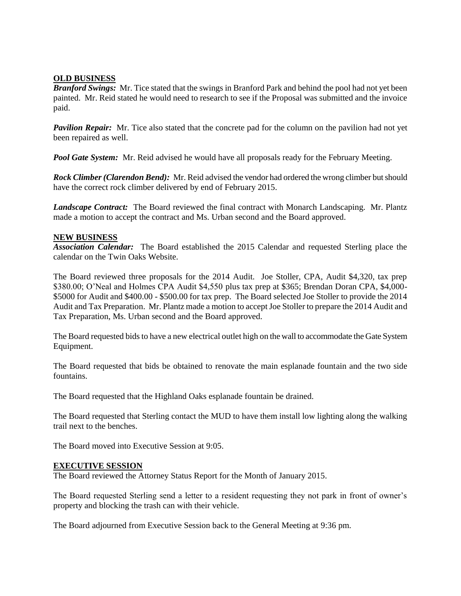### **OLD BUSINESS**

*Branford Swings:* Mr. Tice stated that the swings in Branford Park and behind the pool had not yet been painted. Mr. Reid stated he would need to research to see if the Proposal was submitted and the invoice paid.

*Pavilion Repair:* Mr. Tice also stated that the concrete pad for the column on the pavilion had not yet been repaired as well.

*Pool Gate System:* Mr. Reid advised he would have all proposals ready for the February Meeting.

*Rock Climber (Clarendon Bend):* Mr. Reid advised the vendor had ordered the wrong climber but should have the correct rock climber delivered by end of February 2015.

*Landscape Contract:* The Board reviewed the final contract with Monarch Landscaping. Mr. Plantz made a motion to accept the contract and Ms. Urban second and the Board approved.

#### **NEW BUSINESS**

*Association Calendar:* The Board established the 2015 Calendar and requested Sterling place the calendar on the Twin Oaks Website.

The Board reviewed three proposals for the 2014 Audit. Joe Stoller, CPA, Audit \$4,320, tax prep \$380.00; O'Neal and Holmes CPA Audit \$4,550 plus tax prep at \$365; Brendan Doran CPA, \$4,000- \$5000 for Audit and \$400.00 - \$500.00 for tax prep. The Board selected Joe Stoller to provide the 2014 Audit and Tax Preparation. Mr. Plantz made a motion to accept Joe Stoller to prepare the 2014 Audit and Tax Preparation, Ms. Urban second and the Board approved.

The Board requested bids to have a new electrical outlet high on the wall to accommodate the Gate System Equipment.

The Board requested that bids be obtained to renovate the main esplanade fountain and the two side fountains.

The Board requested that the Highland Oaks esplanade fountain be drained.

The Board requested that Sterling contact the MUD to have them install low lighting along the walking trail next to the benches.

The Board moved into Executive Session at 9:05.

#### **EXECUTIVE SESSION**

The Board reviewed the Attorney Status Report for the Month of January 2015.

The Board requested Sterling send a letter to a resident requesting they not park in front of owner's property and blocking the trash can with their vehicle.

The Board adjourned from Executive Session back to the General Meeting at 9:36 pm.